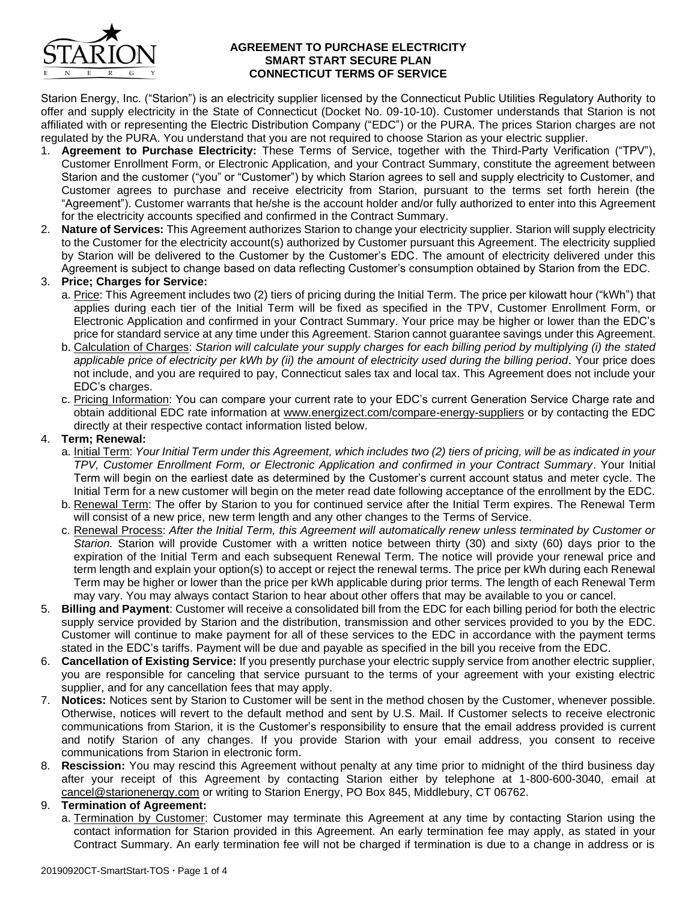

### **AGREEMENT TO PURCHASE ELECTRICITY SMART START SECURE PLAN CONNECTICUT TERMS OF SERVICE**

Starion Energy, Inc. ("Starion") is an electricity supplier licensed by the Connecticut Public Utilities Regulatory Authority to offer and supply electricity in the State of Connecticut (Docket No. 09-10-10). Customer understands that Starion is not affiliated with or representing the Electric Distribution Company ("EDC") or the PURA. The prices Starion charges are not regulated by the PURA. You understand that you are not required to choose Starion as your electric supplier.

- 1. **Agreement to Purchase Electricity:** These Terms of Service, together with the Third-Party Verification ("TPV"), Customer Enrollment Form, or Electronic Application, and your Contract Summary, constitute the agreement between Starion and the customer ("you" or "Customer") by which Starion agrees to sell and supply electricity to Customer, and Customer agrees to purchase and receive electricity from Starion, pursuant to the terms set forth herein (the "Agreement"). Customer warrants that he/she is the account holder and/or fully authorized to enter into this Agreement for the electricity accounts specified and confirmed in the Contract Summary.
- 2. **Nature of Services:** This Agreement authorizes Starion to change your electricity supplier. Starion will supply electricity to the Customer for the electricity account(s) authorized by Customer pursuant this Agreement. The electricity supplied by Starion will be delivered to the Customer by the Customer's EDC. The amount of electricity delivered under this Agreement is subject to change based on data reflecting Customer's consumption obtained by Starion from the EDC.

# 3. **Price; Charges for Service:**

- a. Price: This Agreement includes two (2) tiers of pricing during the Initial Term. The price per kilowatt hour ("kWh") that applies during each tier of the Initial Term will be fixed as specified in the TPV, Customer Enrollment Form, or Electronic Application and confirmed in your Contract Summary. Your price may be higher or lower than the EDC's price for standard service at any time under this Agreement. Starion cannot guarantee savings under this Agreement.
- b. Calculation of Charges: *Starion will calculate your supply charges for each billing period by multiplying (i) the stated*  applicable price of electricity per kWh by (ii) the amount of electricity used during the billing period. Your price does not include, and you are required to pay, Connecticut sales tax and local tax. This Agreement does not include your EDC's charges.
- c. Pricing Information: You can compare your current rate to your EDC's current Generation Service Charge rate and obtain additional EDC rate information at www*.*energizect.com/compare-energy-suppliers or by contacting the EDC directly at their respective contact information listed below.

### 4. **Term; Renewal:**

- a. Initial Term: *Your Initial Term under this Agreement, which includes two (2) tiers of pricing, will be as indicated in your TPV, Customer Enrollment Form, or Electronic Application and confirmed in your Contract Summary*. Your Initial Term will begin on the earliest date as determined by the Customer's current account status and meter cycle. The Initial Term for a new customer will begin on the meter read date following acceptance of the enrollment by the EDC.
- b. Renewal Term: The offer by Starion to you for continued service after the Initial Term expires. The Renewal Term will consist of a new price, new term length and any other changes to the Terms of Service.
- c. Renewal Process: *After the Initial Term, this Agreement will automatically renew unless terminated by Customer or Starion.* Starion will provide Customer with a written notice between thirty (30) and sixty (60) days prior to the expiration of the Initial Term and each subsequent Renewal Term. The notice will provide your renewal price and term length and explain your option(s) to accept or reject the renewal terms. The price per kWh during each Renewal Term may be higher or lower than the price per kWh applicable during prior terms. The length of each Renewal Term may vary. You may always contact Starion to hear about other offers that may be available to you or cancel.
- 5. **Billing and Payment**: Customer will receive a consolidated bill from the EDC for each billing period for both the electric supply service provided by Starion and the distribution, transmission and other services provided to you by the EDC. Customer will continue to make payment for all of these services to the EDC in accordance with the payment terms stated in the EDC's tariffs. Payment will be due and payable as specified in the bill you receive from the EDC.
- 6. **Cancellation of Existing Service:** If you presently purchase your electric supply service from another electric supplier, you are responsible for canceling that service pursuant to the terms of your agreement with your existing electric supplier, and for any cancellation fees that may apply.
- 7. **Notices:** Notices sent by Starion to Customer will be sent in the method chosen by the Customer, whenever possible. Otherwise, notices will revert to the default method and sent by U.S. Mail. If Customer selects to receive electronic communications from Starion, it is the Customer's responsibility to ensure that the email address provided is current and notify Starion of any changes. If you provide Starion with your email address, you consent to receive communications from Starion in electronic form.
- 8. **Rescission:** You may rescind this Agreement without penalty at any time prior to midnight of the third business day after your receipt of this Agreement by contacting Starion either by telephone at 1-800-600-3040, email at cancel@starionenergy.com or writing to Starion Energy, PO Box 845, Middlebury, CT 06762.

### 9. **Termination of Agreement:**

a. Termination by Customer: Customer may terminate this Agreement at any time by contacting Starion using the contact information for Starion provided in this Agreement. An early termination fee may apply, as stated in your Contract Summary. An early termination fee will not be charged if termination is due to a change in address or is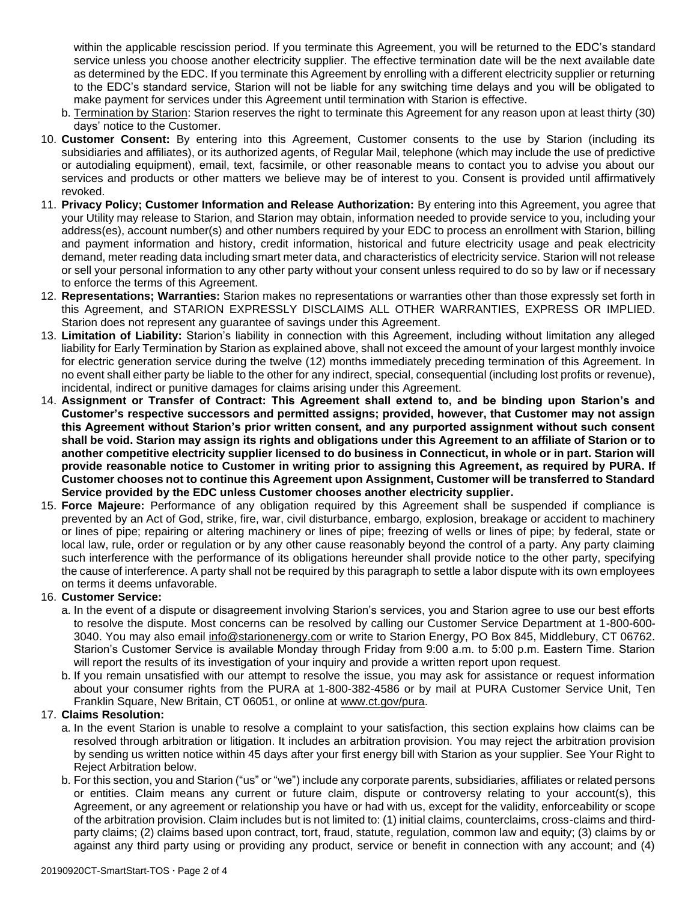within the applicable rescission period. If you terminate this Agreement, you will be returned to the EDC's standard service unless you choose another electricity supplier. The effective termination date will be the next available date as determined by the EDC. If you terminate this Agreement by enrolling with a different electricity supplier or returning to the EDC's standard service, Starion will not be liable for any switching time delays and you will be obligated to make payment for services under this Agreement until termination with Starion is effective.

- b. Termination by Starion: Starion reserves the right to terminate this Agreement for any reason upon at least thirty (30) days' notice to the Customer.
- 10. **Customer Consent:** By entering into this Agreement, Customer consents to the use by Starion (including its subsidiaries and affiliates), or its authorized agents, of Regular Mail, telephone (which may include the use of predictive or autodialing equipment), email, text, facsimile, or other reasonable means to contact you to advise you about our services and products or other matters we believe may be of interest to you. Consent is provided until affirmatively revoked.
- 11. **Privacy Policy; Customer Information and Release Authorization:** By entering into this Agreement, you agree that your Utility may release to Starion, and Starion may obtain, information needed to provide service to you, including your address(es), account number(s) and other numbers required by your EDC to process an enrollment with Starion, billing and payment information and history, credit information, historical and future electricity usage and peak electricity demand, meter reading data including smart meter data, and characteristics of electricity service. Starion will not release or sell your personal information to any other party without your consent unless required to do so by law or if necessary to enforce the terms of this Agreement.
- 12. **Representations; Warranties:** Starion makes no representations or warranties other than those expressly set forth in this Agreement, and STARION EXPRESSLY DISCLAIMS ALL OTHER WARRANTIES, EXPRESS OR IMPLIED. Starion does not represent any guarantee of savings under this Agreement.
- 13. **Limitation of Liability:** Starion's liability in connection with this Agreement, including without limitation any alleged liability for Early Termination by Starion as explained above, shall not exceed the amount of your largest monthly invoice for electric generation service during the twelve (12) months immediately preceding termination of this Agreement. In no event shall either party be liable to the other for any indirect, special, consequential (including lost profits or revenue), incidental, indirect or punitive damages for claims arising under this Agreement.
- 14. **Assignment or Transfer of Contract: This Agreement shall extend to, and be binding upon Starion's and Customer's respective successors and permitted assigns; provided, however, that Customer may not assign this Agreement without Starion's prior written consent, and any purported assignment without such consent shall be void. Starion may assign its rights and obligations under this Agreement to an affiliate of Starion or to another competitive electricity supplier licensed to do business in Connecticut, in whole or in part. Starion will provide reasonable notice to Customer in writing prior to assigning this Agreement, as required by PURA. If Customer chooses not to continue this Agreement upon Assignment, Customer will be transferred to Standard Service provided by the EDC unless Customer chooses another electricity supplier.**
- 15. **Force Majeure:** Performance of any obligation required by this Agreement shall be suspended if compliance is prevented by an Act of God, strike, fire, war, civil disturbance, embargo, explosion, breakage or accident to machinery or lines of pipe; repairing or altering machinery or lines of pipe; freezing of wells or lines of pipe; by federal, state or local law, rule, order or regulation or by any other cause reasonably beyond the control of a party. Any party claiming such interference with the performance of its obligations hereunder shall provide notice to the other party, specifying the cause of interference. A party shall not be required by this paragraph to settle a labor dispute with its own employees on terms it deems unfavorable.

### 16. **Customer Service:**

- a. In the event of a dispute or disagreement involving Starion's services, you and Starion agree to use our best efforts to resolve the dispute. Most concerns can be resolved by calling our Customer Service Department at 1-800-600- 3040. You may also email info@starionenergy.com or write to Starion Energy, PO Box 845, Middlebury, CT 06762. Starion's Customer Service is available Monday through Friday from 9:00 a.m. to 5:00 p.m. Eastern Time. Starion will report the results of its investigation of your inquiry and provide a written report upon request.
- b. If you remain unsatisfied with our attempt to resolve the issue, you may ask for assistance or request information about your consumer rights from the PURA at 1-800-382-4586 or by mail at PURA Customer Service Unit, Ten Franklin Square, New Britain, CT 06051, or online at www.ct.gov/pura.

# 17. **Claims Resolution:**

- a. In the event Starion is unable to resolve a complaint to your satisfaction, this section explains how claims can be resolved through arbitration or litigation. It includes an arbitration provision. You may reject the arbitration provision by sending us written notice within 45 days after your first energy bill with Starion as your supplier. See Your Right to Reject Arbitration below.
- b. For this section, you and Starion ("us" or "we") include any corporate parents, subsidiaries, affiliates or related persons or entities. Claim means any current or future claim, dispute or controversy relating to your account(s), this Agreement, or any agreement or relationship you have or had with us, except for the validity, enforceability or scope of the arbitration provision. Claim includes but is not limited to: (1) initial claims, counterclaims, cross-claims and thirdparty claims; (2) claims based upon contract, tort, fraud, statute, regulation, common law and equity; (3) claims by or against any third party using or providing any product, service or benefit in connection with any account; and (4)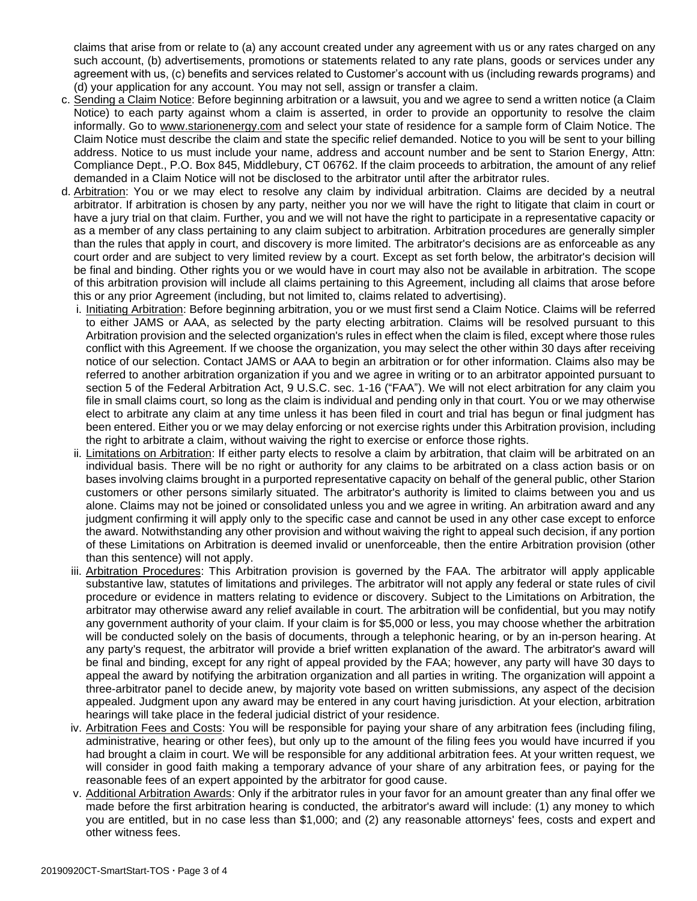claims that arise from or relate to (a) any account created under any agreement with us or any rates charged on any such account, (b) advertisements, promotions or statements related to any rate plans, goods or services under any agreement with us, (c) benefits and services related to Customer's account with us (including rewards programs) and (d) your application for any account. You may not sell, assign or transfer a claim.

- c. Sending a Claim Notice: Before beginning arbitration or a lawsuit, you and we agree to send a written notice (a Claim Notice) to each party against whom a claim is asserted, in order to provide an opportunity to resolve the claim informally. Go to www.starionenergy.com and select your state of residence for a sample form of Claim Notice. The Claim Notice must describe the claim and state the specific relief demanded. Notice to you will be sent to your billing address. Notice to us must include your name, address and account number and be sent to Starion Energy, Attn: Compliance Dept., P.O. Box 845, Middlebury, CT 06762. If the claim proceeds to arbitration, the amount of any relief demanded in a Claim Notice will not be disclosed to the arbitrator until after the arbitrator rules.
- d. Arbitration: You or we may elect to resolve any claim by individual arbitration. Claims are decided by a neutral arbitrator. If arbitration is chosen by any party, neither you nor we will have the right to litigate that claim in court or have a jury trial on that claim. Further, you and we will not have the right to participate in a representative capacity or as a member of any class pertaining to any claim subject to arbitration. Arbitration procedures are generally simpler than the rules that apply in court, and discovery is more limited. The arbitrator's decisions are as enforceable as any court order and are subject to very limited review by a court. Except as set forth below, the arbitrator's decision will be final and binding. Other rights you or we would have in court may also not be available in arbitration. The scope of this arbitration provision will include all claims pertaining to this Agreement, including all claims that arose before this or any prior Agreement (including, but not limited to, claims related to advertising).
	- i. Initiating Arbitration: Before beginning arbitration, you or we must first send a Claim Notice. Claims will be referred to either JAMS or AAA, as selected by the party electing arbitration. Claims will be resolved pursuant to this Arbitration provision and the selected organization's rules in effect when the claim is filed, except where those rules conflict with this Agreement. If we choose the organization, you may select the other within 30 days after receiving notice of our selection. Contact JAMS or AAA to begin an arbitration or for other information. Claims also may be referred to another arbitration organization if you and we agree in writing or to an arbitrator appointed pursuant to section 5 of the Federal Arbitration Act, 9 U.S.C. sec. 1-16 ("FAA"). We will not elect arbitration for any claim you file in small claims court, so long as the claim is individual and pending only in that court. You or we may otherwise elect to arbitrate any claim at any time unless it has been filed in court and trial has begun or final judgment has been entered. Either you or we may delay enforcing or not exercise rights under this Arbitration provision, including the right to arbitrate a claim, without waiving the right to exercise or enforce those rights.
	- ii. Limitations on Arbitration: If either party elects to resolve a claim by arbitration, that claim will be arbitrated on an individual basis. There will be no right or authority for any claims to be arbitrated on a class action basis or on bases involving claims brought in a purported representative capacity on behalf of the general public, other Starion customers or other persons similarly situated. The arbitrator's authority is limited to claims between you and us alone. Claims may not be joined or consolidated unless you and we agree in writing. An arbitration award and any judgment confirming it will apply only to the specific case and cannot be used in any other case except to enforce the award. Notwithstanding any other provision and without waiving the right to appeal such decision, if any portion of these Limitations on Arbitration is deemed invalid or unenforceable, then the entire Arbitration provision (other than this sentence) will not apply.
	- iii. Arbitration Procedures: This Arbitration provision is governed by the FAA. The arbitrator will apply applicable substantive law, statutes of limitations and privileges. The arbitrator will not apply any federal or state rules of civil procedure or evidence in matters relating to evidence or discovery. Subject to the Limitations on Arbitration, the arbitrator may otherwise award any relief available in court. The arbitration will be confidential, but you may notify any government authority of your claim. If your claim is for \$5,000 or less, you may choose whether the arbitration will be conducted solely on the basis of documents, through a telephonic hearing, or by an in-person hearing. At any party's request, the arbitrator will provide a brief written explanation of the award. The arbitrator's award will be final and binding, except for any right of appeal provided by the FAA; however, any party will have 30 days to appeal the award by notifying the arbitration organization and all parties in writing. The organization will appoint a three-arbitrator panel to decide anew, by majority vote based on written submissions, any aspect of the decision appealed. Judgment upon any award may be entered in any court having jurisdiction. At your election, arbitration hearings will take place in the federal judicial district of your residence.
	- iv. Arbitration Fees and Costs: You will be responsible for paying your share of any arbitration fees (including filing, administrative, hearing or other fees), but only up to the amount of the filing fees you would have incurred if you had brought a claim in court. We will be responsible for any additional arbitration fees. At your written request, we will consider in good faith making a temporary advance of your share of any arbitration fees, or paying for the reasonable fees of an expert appointed by the arbitrator for good cause.
	- v. Additional Arbitration Awards: Only if the arbitrator rules in your favor for an amount greater than any final offer we made before the first arbitration hearing is conducted, the arbitrator's award will include: (1) any money to which you are entitled, but in no case less than \$1,000; and (2) any reasonable attorneys' fees, costs and expert and other witness fees.